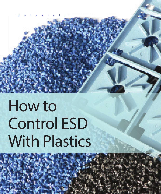Materials

# How to Control ESD With Plastics

**8 0 <sup>P</sup>P C DESIGN WORLD DESIGN WORLD October 2016 www.design.com Designworld of the Second Designation of Designation**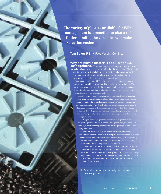**The variety of plastics available for ESD management is a benefit, but also a risk. Understanding the variables will make selection easier.** 

**Tom Solon, P.E. •** R.H. Murphy Co., Inc.

# Why are plastic materials popular for ESD

management? Choices among material properties, aesthetics, and cost abound and the material can be tailored to the application. Plastics tend to be lightweight, which is helpful in automation and transportation. Most plastics are naturally insulating, allowing the addition of conductive material to create adjustable levels of electrical conductivity.

 Electrostatic discharge (ESD) is the transfer of accumulated electric charge from one object to another. The transfer can cause damage. The most recognized form of ESD, the human model, results from a person becoming charged and then discharging to another object, such as an unprotected electronic component.

Another form of ESD is the charged device model, where a discharge occurs when the device being protected has a charge and makes contact with a ground path. If an electronic component has stored energy and its terminals make contact with a low resistance ground path, a rapid discharge will occur with an associated current spike. If not designed to handle the spike, internal circuitry can be damaged or destroyed. If, instead, the ground path is resistive, the discharge rate is slowed and damage avoided.

 The goal of an ESD-protective material is to protect from ESD originating externally, avoid triboelectric generation, and provide a safe, regulated discharge path for any existing charge on the object being protected.

 Material resistance is classified as insulating, dissipating, or conducting. Physical chemistry can explain the mechanism by which polymers and compounds can conduct electricity. But controlling the amount of conduction has relied on recipes arrived at through experimentation and empirical measurements.

 A common source of confusion is use, misuse, and mix-ups of the terms surface resistivity and surface resistance. In simple form, resistivity is a basic material property while resistance is geometrydependent and can vary with the measurement tools used. These are different measurements and it is important use them and report them correctly.

**»** Carbon-filled materials are naturally black but some coloring is possible.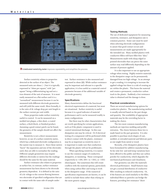

**»A dedicated resistivity meter** improves repeatability and simplifies the process.

Surface resistivity relates to properties detected at the surface of an object. The measured units are ohms  $(-)$  but it is typically expressed in "ohms per square," with "per square" being a differentiating tag and not a true element of the unit of measure. It is most easily measured on a flat surface and it is a "normalized" measurement because it can be measured with different electrode geometries and still yield the same result. More formally, it is the ratio of dc voltage drop per unit length to the surface current per unit width.

These properties make surface resistivity useful to control. It can be measured on a molded test plaque, a thin sheet, a coated surface, a thick block, or finished product. Assuming a good contact patch can be found, the geometry of the sample should not affect the measurement.

Resistivity is not a direct measurement however, so use of a surface resistivity meter, which has a dedicated electrode configuration is the easiest way to measure it. Since these meters "know" the separation and size of the electrodes used, they are able to normalize the reading. Different sample geometries may require different electrodes or meters but the readings should be the same for the same material.

Surface resistance also relates to properties at surface but, in contrast, surface resistance measurement has been shown to be electrode geometry dependent. It is defined as the ratio of a dc voltage to the current flowing between two electrodes of specified configuration that are in contact with the same side of sample under

test. Surface resistance is also measured and expressed in ohms  $(Ω)$ . While surface resistance may be important and relevant to a specific application, it is less useful as a material control parameter because of the additional variable of electrode geometry.

#### Specifications

Many characteristics define the functional electrical requirements of a material, but most are situational. Surface resistivity is useful because it is a good indicator of material performance and it can be measured readily in many configurations.

But there may be other characteristics that are worth specifying for certain applications, such as if the plastic component is used to control intentional discharge. In this case dissipation rate may be critical. Or if electrical testing of a component will be performed while in direct contact with the plastic, resistance may be as important as resistivity since it is important to make sure that conduction through the plastic will not be problematic.

When specifying resistivity, it is easiest to use the common ranges of conductive, dissipative, or insulating. These correspond respectively to <104, 104< to <1011, or >1011 ohms/square. But sometimes this will create conflicts with the material options, particularly when using carbon fiber and trying to work in the dissipative range. If the numerical specification requirements are known, it can be useful to include them rather than relying on the more generic ranges.

#### Testing Methods

The use of dedicated equipment for measuring resistivity, resistance, and dissipation rate is common practice. Some care must be used when selecting electrode configurations to assure that good contact occurs and measurements are made appropriately for the intended use. Many molded plastics with conductive fillers will have filler-free "skin." Measurements made with sharp edged or pointed electrodes that can pierce the outer surface may read differently depending on the amount of pressure applied.

It is also important to use an appropriate voltage when testing. Highly resistive materials in the dissipative range can be permanently damaged from too high voltage. In an attempt to get a reading, it is tempting to increase the applied voltage but there is a risk of creating an arc within the plastic. This burns the material and creates a permanent, conductive carbon track in the plastic. Suddenly a low resistance value is obtained and the damage is done.

# Practical considerations

There are several manufacturing options for conductive plastics. The manufacturing method is usually selected based on the part design and quantity. But availability of appropriate materials may be the overriding factor in making the choice.

The two most common manufacturing methods are injection molding and profile extrusion. The choice between these two is made based on the part geometry. It is also possible to purchase stock shapes of cast, molded, or extruded material and fabricate parts as one might from metal or wood.

Recently, a few dissipative plastics have been formulated for additive manufacturing. So far only low- and mid-temp variations have been offered to the public and they use carbon powder for conductivity, which degrades the mechanical performance and cleanliness.

Part geometry can alter the material's electrical performance. Small features may not get a normal distribution of conductive filler resulting in reduced conductivity. Or, if the features are sized similarly to the filler, individual fibers or particles can bridge the features, providing low resistance "short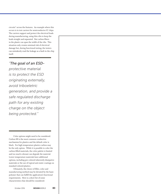circuits" across the features. An example where this occurs is in test carriers for semiconductor IC chips. The carriers support and protect the electrical leads during manufacturing, using thin ribs to keep the leads straight and separated. But carbon fibers in the plastic can span the width of the ribs. This situation only creates minimal risk of electrical damage but, during functional testing, the testers can mistakenly read the leakage as a fault in the chip itself.

# *"The goal of an ESD-*

*protective material is to protect the ESD originating externally, avoid triboeletric generation, and provide a safe regulated discharge path for any existing charge on the object being protected."*

Color options might need to be considered. Carbon fill is the most common conductive mechanism for plastics and the default color is black. For high temperature plastics carbon may be the only option. While it is possible to color the carbon-filled materials, the color palette is limited and too much colorant can degrade the material. Lower temperature materials have additional options, including pre-colored inherently dissipative materials or the use of topical anti-static coatings on standard colored plastics.

Ultimately, the choice of filler, color and manufacturing method may be dictated by the basic polymer that can fulfill the application's functional requirements. Here is a short list of some characteristics that should be considered: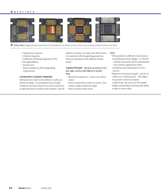# Materials



**» Carbon fiber** bridging between leads led to the development of Isopak carriers, which use insulating material between the leads.

- Temperature exposure
- Chemical exposure
- Coefficient of thermal expansion (CTE)
- Strength/stiffness
- Feature sizes
- Flame retardant or self-extinguishing requirements

# Conduction in plastic materials

ESD protection relies on the ability to conduct an electrical charge. As most plastics are normally insulators, the most common way this is achieved is to add some form of carbon to the material. But the

addition of carbon can reduce the effectiveness of a material's self-extinguishing properties. Here are summaries of the different carbon forms.

Carbon Powder –*this form of carbon is very fine, light, and by itself, difficult to handle.* Pros

- •Relatively inexpensive lowest cost carbon option
- •Lower conductivity is easier to control– best suited to higher resistivity ranges
- •Does not restrict flow much

#### Cons

- •Dirty, powder in sufficient concentration to provide protection sloughs – It rubs off
- with the associated risk of contamination – best suited to applications where
- cleanliness and contamination is not a concern
- •Reduced mechanical strength powder is a filler, not a reinforcement – The higher the powder content (increased conductivity), the more loss of strength
- •Makes material black and limits the ability to offer in other colors